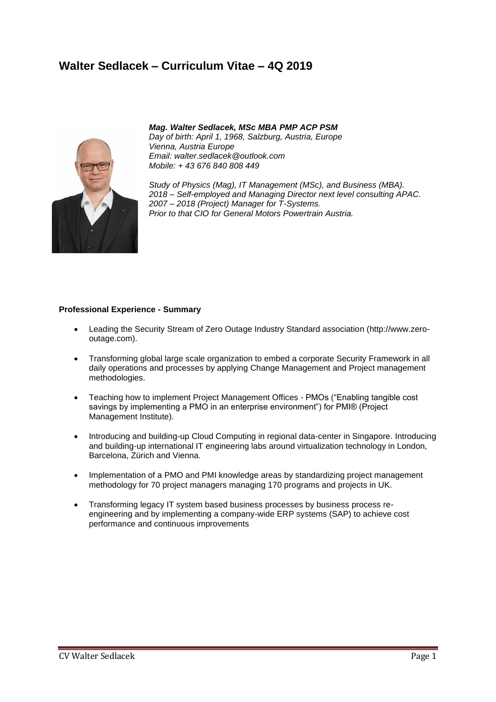## **Walter Sedlacek – Curriculum Vitae – 4Q 2019**



## *Mag. Walter Sedlacek, MSc MBA PMP ACP PSM*

*Day of birth: April 1, 1968, Salzburg, Austria, Europe Vienna, Austria Europe Email: walter.sedlacek@outlook.com Mobile: + 43 676 840 808 449*

*Study of Physics (Mag), IT Management (MSc), and Business (MBA). 2018 – Self-employed and Managing Director next level consulting APAC. 2007 – 2018 (Project) Manager for T-Systems. Prior to that CIO for General Motors Powertrain Austria.*

#### **Professional Experience - Summary**

- Leading the Security Stream of Zero Outage Industry Standard association (http://www.zerooutage.com).
- Transforming global large scale organization to embed a corporate Security Framework in all daily operations and processes by applying Change Management and Project management methodologies.
- Teaching how to implement Project Management Offices PMOs ("Enabling tangible cost savings by implementing a PMO in an enterprise environment") for PMI® (Project Management Institute).
- Introducing and building-up Cloud Computing in regional data-center in Singapore. Introducing and building-up international IT engineering labs around virtualization technology in London, Barcelona, Zürich and Vienna.
- Implementation of a PMO and PMI knowledge areas by standardizing project management methodology for 70 project managers managing 170 programs and projects in UK.
- Transforming legacy IT system based business processes by business process reengineering and by implementing a company-wide ERP systems (SAP) to achieve cost performance and continuous improvements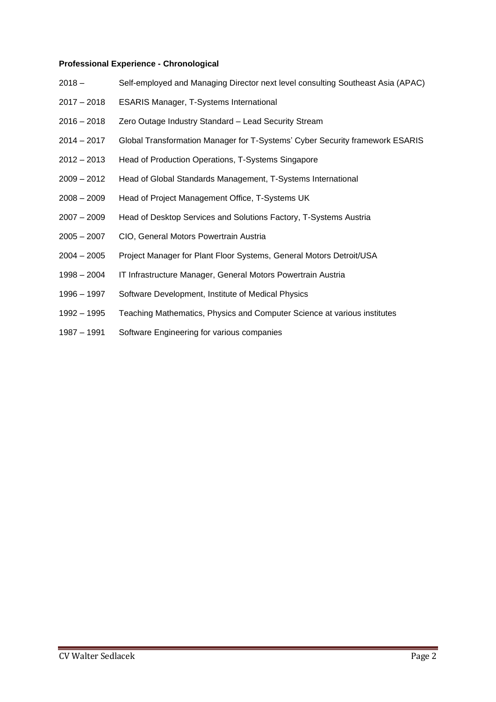### **Professional Experience - Chronological**

- 2018 Self-employed and Managing Director next level consulting Southeast Asia (APAC)
- 2017 2018 ESARIS Manager, T-Systems International
- 2016 2018 Zero Outage Industry Standard Lead Security Stream
- 2014 2017 Global Transformation Manager for T-Systems' Cyber Security framework ESARIS
- 2012 2013 Head of Production Operations, T-Systems Singapore
- 2009 2012 Head of Global Standards Management, T-Systems International
- 2008 2009 Head of Project Management Office, T-Systems UK
- 2007 2009 Head of Desktop Services and Solutions Factory, T-Systems Austria
- 2005 2007 CIO, General Motors Powertrain Austria
- 2004 2005 Project Manager for Plant Floor Systems, General Motors Detroit/USA
- 1998 2004 IT Infrastructure Manager, General Motors Powertrain Austria
- 1996 1997 Software Development, Institute of Medical Physics
- 1992 1995 Teaching Mathematics, Physics and Computer Science at various institutes
- 1987 1991 Software Engineering for various companies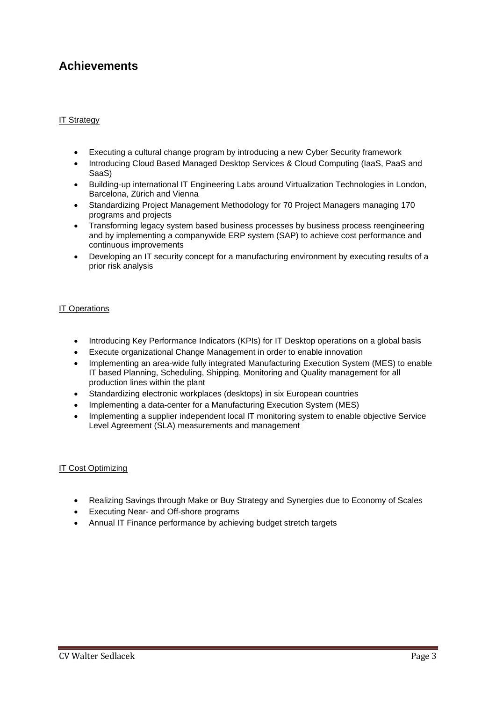## **Achievements**

## IT Strategy

- Executing a cultural change program by introducing a new Cyber Security framework
- Introducing Cloud Based Managed Desktop Services & Cloud Computing (IaaS, PaaS and SaaS)
- Building-up international IT Engineering Labs around Virtualization Technologies in London, Barcelona, Zürich and Vienna
- Standardizing Project Management Methodology for 70 Project Managers managing 170 programs and projects
- Transforming legacy system based business processes by business process reengineering and by implementing a companywide ERP system (SAP) to achieve cost performance and continuous improvements
- Developing an IT security concept for a manufacturing environment by executing results of a prior risk analysis

## IT Operations

- Introducing Key Performance Indicators (KPIs) for IT Desktop operations on a global basis
- Execute organizational Change Management in order to enable innovation
- Implementing an area-wide fully integrated Manufacturing Execution System (MES) to enable IT based Planning, Scheduling, Shipping, Monitoring and Quality management for all production lines within the plant
- Standardizing electronic workplaces (desktops) in six European countries
- Implementing a data-center for a Manufacturing Execution System (MES)
- Implementing a supplier independent local IT monitoring system to enable objective Service Level Agreement (SLA) measurements and management

#### **IT Cost Optimizing**

- Realizing Savings through Make or Buy Strategy and Synergies due to Economy of Scales
- Executing Near- and Off-shore programs
- Annual IT Finance performance by achieving budget stretch targets